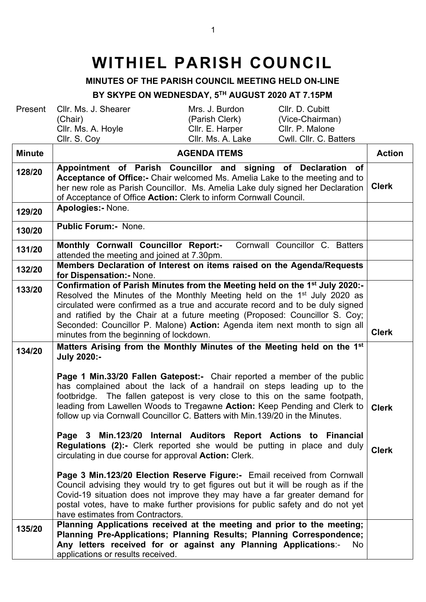## **WITHIEL PARISH COUNCIL**

## **MINUTES OF THE PARISH COUNCIL MEETING HELD ON-LINE**

## **BY SKYPE ON WEDNESDAY, 5TH AUGUST 2020 AT 7.15PM**

| Present       | Cllr. D. Cubitt<br>Cllr. Ms. J. Shearer<br>Mrs. J. Burdon<br>(Parish Clerk)<br>(Vice-Chairman)<br>(Chair)<br>Cllr. Ms. A. Hoyle<br>Cllr. P. Malone<br>Cllr. E. Harper<br>Cllr. S. Coy<br>Cwll. Cllr. C. Batters<br>Cllr. Ms. A. Lake                                                                                                                                                                                                                                     |               |
|---------------|--------------------------------------------------------------------------------------------------------------------------------------------------------------------------------------------------------------------------------------------------------------------------------------------------------------------------------------------------------------------------------------------------------------------------------------------------------------------------|---------------|
| <b>Minute</b> | <b>AGENDA ITEMS</b>                                                                                                                                                                                                                                                                                                                                                                                                                                                      | <b>Action</b> |
| 128/20        | Appointment of Parish Councillor and signing of Declaration of<br>Acceptance of Office:- Chair welcomed Ms. Amelia Lake to the meeting and to<br>her new role as Parish Councillor. Ms. Amelia Lake duly signed her Declaration<br>of Acceptance of Office Action: Clerk to inform Cornwall Council.                                                                                                                                                                     | <b>Clerk</b>  |
| 129/20        | Apologies:- None.                                                                                                                                                                                                                                                                                                                                                                                                                                                        |               |
| 130/20        | <b>Public Forum:</b> None.                                                                                                                                                                                                                                                                                                                                                                                                                                               |               |
| 131/20        | Cornwall Councillor C. Batters<br>Monthly Cornwall Councillor Report:-<br>attended the meeting and joined at 7.30pm.                                                                                                                                                                                                                                                                                                                                                     |               |
| 132/20        | Members Declaration of Interest on items raised on the Agenda/Requests<br>for Dispensation: - None.                                                                                                                                                                                                                                                                                                                                                                      |               |
| 133/20        | Confirmation of Parish Minutes from the Meeting held on the 1 <sup>st</sup> July 2020:-<br>Resolved the Minutes of the Monthly Meeting held on the 1 <sup>st</sup> July 2020 as<br>circulated were confirmed as a true and accurate record and to be duly signed<br>and ratified by the Chair at a future meeting (Proposed: Councillor S. Coy;<br>Seconded: Councillor P. Malone) Action: Agenda item next month to sign all<br>minutes from the beginning of lockdown. | <b>Clerk</b>  |
| 134/20        | Matters Arising from the Monthly Minutes of the Meeting held on the 1 <sup>st</sup><br><b>July 2020:-</b>                                                                                                                                                                                                                                                                                                                                                                |               |
|               | Page 1 Min.33/20 Fallen Gatepost:- Chair reported a member of the public<br>has complained about the lack of a handrail on steps leading up to the<br>footbridge. The fallen gatepost is very close to this on the same footpath,<br>leading from Lawellen Woods to Tregawne Action: Keep Pending and Clerk to<br>follow up via Cornwall Councillor C. Batters with Min.139/20 in the Minutes.                                                                           | <b>Clerk</b>  |
|               | Page 3 Min.123/20 Internal Auditors Report Actions to Financial<br><b>Regulations (2):-</b> Clerk reported she would be putting in place and duly<br>circulating in due course for approval <b>Action:</b> Clerk.                                                                                                                                                                                                                                                        | <b>Clerk</b>  |
|               | Page 3 Min.123/20 Election Reserve Figure:- Email received from Cornwall<br>Council advising they would try to get figures out but it will be rough as if the<br>Covid-19 situation does not improve they may have a far greater demand for<br>postal votes, have to make further provisions for public safety and do not yet<br>have estimates from Contractors.                                                                                                        |               |
| 135/20        | Planning Applications received at the meeting and prior to the meeting;<br>Planning Pre-Applications; Planning Results; Planning Correspondence;<br>Any letters received for or against any Planning Applications:-<br>No.<br>applications or results received.                                                                                                                                                                                                          |               |
|               |                                                                                                                                                                                                                                                                                                                                                                                                                                                                          |               |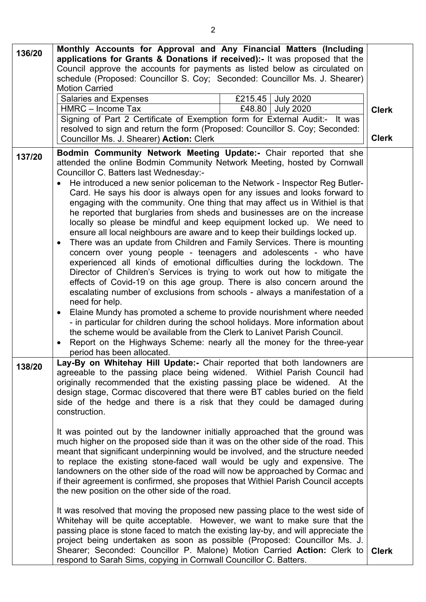| 136/20 | Monthly Accounts for Approval and Any Financial Matters (Including<br>applications for Grants & Donations if received):- It was proposed that the<br>Council approve the accounts for payments as listed below as circulated on<br>schedule (Proposed: Councillor S. Coy; Seconded: Councillor Ms. J. Shearer)<br><b>Motion Carried</b><br><b>Salaries and Expenses</b><br>£215.45<br><b>July 2020</b><br>HMRC - Income Tax<br>£48.80<br><b>July 2020</b><br>Signing of Part 2 Certificate of Exemption form for External Audit:- It was<br>resolved to sign and return the form (Proposed: Councillor S. Coy; Seconded:<br>Councillor Ms. J. Shearer) Action: Clerk                                                                                                                                                                                                                                                                                                                                                                                                                                                                                                                                                                                                                                          | <b>Clerk</b><br><b>Clerk</b> |
|--------|---------------------------------------------------------------------------------------------------------------------------------------------------------------------------------------------------------------------------------------------------------------------------------------------------------------------------------------------------------------------------------------------------------------------------------------------------------------------------------------------------------------------------------------------------------------------------------------------------------------------------------------------------------------------------------------------------------------------------------------------------------------------------------------------------------------------------------------------------------------------------------------------------------------------------------------------------------------------------------------------------------------------------------------------------------------------------------------------------------------------------------------------------------------------------------------------------------------------------------------------------------------------------------------------------------------|------------------------------|
| 137/20 | Bodmin Community Network Meeting Update:- Chair reported that she<br>attended the online Bodmin Community Network Meeting, hosted by Cornwall<br>Councillor C. Batters last Wednesday:-<br>He introduced a new senior policeman to the Network - Inspector Reg Butler-                                                                                                                                                                                                                                                                                                                                                                                                                                                                                                                                                                                                                                                                                                                                                                                                                                                                                                                                                                                                                                        |                              |
|        | Card. He says his door is always open for any issues and looks forward to<br>engaging with the community. One thing that may affect us in Withiel is that<br>he reported that burglaries from sheds and businesses are on the increase<br>locally so please be mindful and keep equipment locked up. We need to<br>ensure all local neighbours are aware and to keep their buildings locked up.<br>There was an update from Children and Family Services. There is mounting<br>concern over young people - teenagers and adolescents - who have<br>experienced all kinds of emotional difficulties during the lockdown. The<br>Director of Children's Services is trying to work out how to mitigate the<br>effects of Covid-19 on this age group. There is also concern around the<br>escalating number of exclusions from schools - always a manifestation of a<br>need for help.<br>Elaine Mundy has promoted a scheme to provide nourishment where needed<br>- in particular for children during the school holidays. More information about<br>the scheme would be available from the Clerk to Lanivet Parish Council.<br>Report on the Highways Scheme: nearly all the money for the three-year<br>period has been allocated.                                                                           |                              |
| 138/20 | Lay-By on Whitehay Hill Update:- Chair reported that both landowners are<br>agreeable to the passing place being widened. Withiel Parish Council had<br>originally recommended that the existing passing place be widened. At the<br>design stage, Cormac discovered that there were BT cables buried on the field<br>side of the hedge and there is a risk that they could be damaged during<br>construction.<br>It was pointed out by the landowner initially approached that the ground was<br>much higher on the proposed side than it was on the other side of the road. This<br>meant that significant underpinning would be involved, and the structure needed<br>to replace the existing stone-faced wall would be ugly and expensive. The<br>landowners on the other side of the road will now be approached by Cormac and<br>if their agreement is confirmed, she proposes that Withiel Parish Council accepts<br>the new position on the other side of the road.<br>It was resolved that moving the proposed new passing place to the west side of<br>Whitehay will be quite acceptable. However, we want to make sure that the<br>passing place is stone faced to match the existing lay-by, and will appreciate the<br>project being undertaken as soon as possible (Proposed: Councillor Ms. J. |                              |
|        | Shearer; Seconded: Councillor P. Malone) Motion Carried Action: Clerk to<br>respond to Sarah Sims, copying in Cornwall Councillor C. Batters.                                                                                                                                                                                                                                                                                                                                                                                                                                                                                                                                                                                                                                                                                                                                                                                                                                                                                                                                                                                                                                                                                                                                                                 | <b>Clerk</b>                 |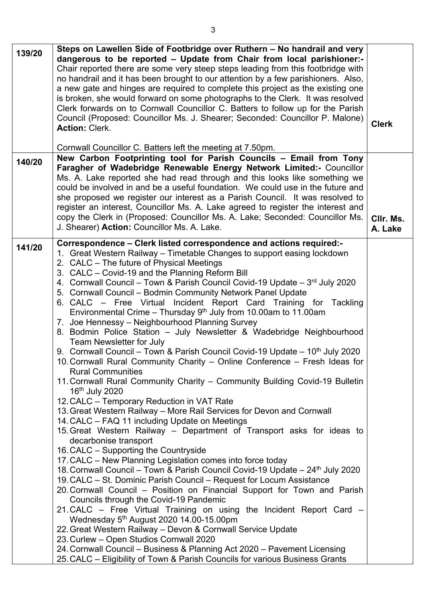| 139/20 | Steps on Lawellen Side of Footbridge over Ruthern – No handrail and very<br>dangerous to be reported - Update from Chair from local parishioner:-<br>Chair reported there are some very steep steps leading from this footbridge with<br>no handrail and it has been brought to our attention by a few parishioners. Also,<br>a new gate and hinges are required to complete this project as the existing one<br>is broken, she would forward on some photographs to the Clerk. It was resolved<br>Clerk forwards on to Cornwall Councillor C. Batters to follow up for the Parish<br>Council (Proposed: Councillor Ms. J. Shearer; Seconded: Councillor P. Malone)<br><b>Action: Clerk.</b>                                                                                                                                                                                                                                                                                                                                                                                                                                                                                                                                                                                                                                                                                                                                                                                                                                                                                                                                                                                                                                                                                                                                                                                                                                                                                                                                                                                                                    | <b>Clerk</b>         |
|--------|-----------------------------------------------------------------------------------------------------------------------------------------------------------------------------------------------------------------------------------------------------------------------------------------------------------------------------------------------------------------------------------------------------------------------------------------------------------------------------------------------------------------------------------------------------------------------------------------------------------------------------------------------------------------------------------------------------------------------------------------------------------------------------------------------------------------------------------------------------------------------------------------------------------------------------------------------------------------------------------------------------------------------------------------------------------------------------------------------------------------------------------------------------------------------------------------------------------------------------------------------------------------------------------------------------------------------------------------------------------------------------------------------------------------------------------------------------------------------------------------------------------------------------------------------------------------------------------------------------------------------------------------------------------------------------------------------------------------------------------------------------------------------------------------------------------------------------------------------------------------------------------------------------------------------------------------------------------------------------------------------------------------------------------------------------------------------------------------------------------------|----------------------|
|        | Cornwall Councillor C. Batters left the meeting at 7.50pm.                                                                                                                                                                                                                                                                                                                                                                                                                                                                                                                                                                                                                                                                                                                                                                                                                                                                                                                                                                                                                                                                                                                                                                                                                                                                                                                                                                                                                                                                                                                                                                                                                                                                                                                                                                                                                                                                                                                                                                                                                                                      |                      |
| 140/20 | New Carbon Footprinting tool for Parish Councils - Email from Tony<br>Faragher of Wadebridge Renewable Energy Network Limited:- Councillor<br>Ms. A. Lake reported she had read through and this looks like something we<br>could be involved in and be a useful foundation. We could use in the future and<br>she proposed we register our interest as a Parish Council. It was resolved to<br>register an interest, Councillor Ms. A. Lake agreed to register the interest and<br>copy the Clerk in (Proposed: Councillor Ms. A. Lake; Seconded: Councillor Ms.<br>J. Shearer) Action: Councillor Ms. A. Lake.                                                                                                                                                                                                                                                                                                                                                                                                                                                                                                                                                                                                                                                                                                                                                                                                                                                                                                                                                                                                                                                                                                                                                                                                                                                                                                                                                                                                                                                                                                | CIIr. Ms.<br>A. Lake |
| 141/20 | Correspondence - Clerk listed correspondence and actions required:-<br>1. Great Western Railway – Timetable Changes to support easing lockdown<br>2. CALC - The future of Physical Meetings<br>3. CALC – Covid-19 and the Planning Reform Bill<br>4. Cornwall Council – Town & Parish Council Covid-19 Update – $3^{rd}$ July 2020<br>5. Cornwall Council - Bodmin Community Network Panel Update<br>6. CALC – Free Virtual Incident Report Card Training for Tackling<br>Environmental Crime – Thursday $9th$ July from 10.00am to 11.00am<br>7. Joe Hennessy - Neighbourhood Planning Survey<br>8. Bodmin Police Station - July Newsletter & Wadebridge Neighbourhood<br><b>Team Newsletter for July</b><br>9. Cornwall Council – Town & Parish Council Covid-19 Update – 10 <sup>th</sup> July 2020<br>10. Cornwall Rural Community Charity - Online Conference - Fresh Ideas for<br><b>Rural Communities</b><br>11. Cornwall Rural Community Charity - Community Building Covid-19 Bulletin<br>16 <sup>th</sup> July 2020<br>12. CALC - Temporary Reduction in VAT Rate<br>13. Great Western Railway – More Rail Services for Devon and Cornwall<br>14. CALC - FAQ 11 including Update on Meetings<br>15. Great Western Railway - Department of Transport asks for ideas to<br>decarbonise transport<br>16. CALC - Supporting the Countryside<br>17. CALC – New Planning Legislation comes into force today<br>18. Cornwall Council – Town & Parish Council Covid-19 Update – 24 <sup>th</sup> July 2020<br>19. CALC – St. Dominic Parish Council – Request for Locum Assistance<br>20. Cornwall Council - Position on Financial Support for Town and Parish<br>Councils through the Covid-19 Pandemic<br>21. CALC – Free Virtual Training on using the Incident Report Card –<br>Wednesday 5 <sup>th</sup> August 2020 14.00-15.00pm<br>22. Great Western Railway - Devon & Cornwall Service Update<br>23. Curlew - Open Studios Cornwall 2020<br>24. Cornwall Council – Business & Planning Act 2020 – Pavement Licensing<br>25. CALC – Eligibility of Town & Parish Councils for various Business Grants |                      |